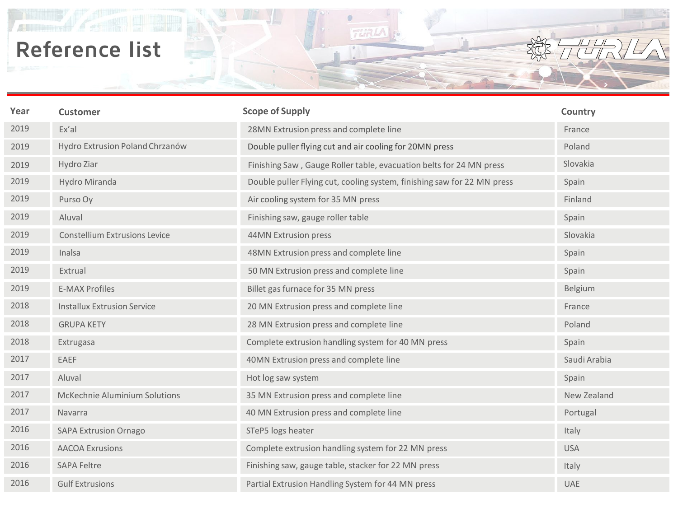鼎

| Year | <b>Customer</b>                      | <b>Scope of Supply</b>                                                  | Country      |
|------|--------------------------------------|-------------------------------------------------------------------------|--------------|
| 2019 | Ex'al                                | 28MN Extrusion press and complete line                                  | France       |
| 2019 | Hydro Extrusion Poland Chrzanów      | Double puller flying cut and air cooling for 20MN press                 | Poland       |
| 2019 | Hydro Ziar                           | Finishing Saw, Gauge Roller table, evacuation belts for 24 MN press     | Slovakia     |
| 2019 | Hydro Miranda                        | Double puller Flying cut, cooling system, finishing saw for 22 MN press | Spain        |
| 2019 | Purso Oy                             | Air cooling system for 35 MN press                                      | Finland      |
| 2019 | Aluval                               | Finishing saw, gauge roller table                                       | Spain        |
| 2019 | <b>Constellium Extrusions Levice</b> | 44MN Extrusion press                                                    | Slovakia     |
| 2019 | Inalsa                               | 48MN Extrusion press and complete line                                  | Spain        |
| 2019 | Extrual                              | 50 MN Extrusion press and complete line                                 | Spain        |
| 2019 | <b>E-MAX Profiles</b>                | Billet gas furnace for 35 MN press                                      | Belgium      |
| 2018 | <b>Installux Extrusion Service</b>   | 20 MN Extrusion press and complete line                                 | France       |
| 2018 | <b>GRUPA KETY</b>                    | 28 MN Extrusion press and complete line                                 | Poland       |
| 2018 | Extrugasa                            | Complete extrusion handling system for 40 MN press                      | Spain        |
| 2017 | EAEF                                 | 40MN Extrusion press and complete line                                  | Saudi Arabia |
| 2017 | Aluval                               | Hot log saw system                                                      | Spain        |
| 2017 | McKechnie Aluminium Solutions        | 35 MN Extrusion press and complete line                                 | New Zealand  |
| 2017 | Navarra                              | 40 MN Extrusion press and complete line                                 | Portugal     |
| 2016 | <b>SAPA Extrusion Ornago</b>         | STeP5 logs heater                                                       | Italy        |
| 2016 | <b>AACOA Exrusions</b>               | Complete extrusion handling system for 22 MN press                      | <b>USA</b>   |
| 2016 | <b>SAPA Feltre</b>                   | Finishing saw, gauge table, stacker for 22 MN press                     | Italy        |
| 2016 | <b>Gulf Extrusions</b>               | Partial Extrusion Handling System for 44 MN press                       | <b>UAE</b>   |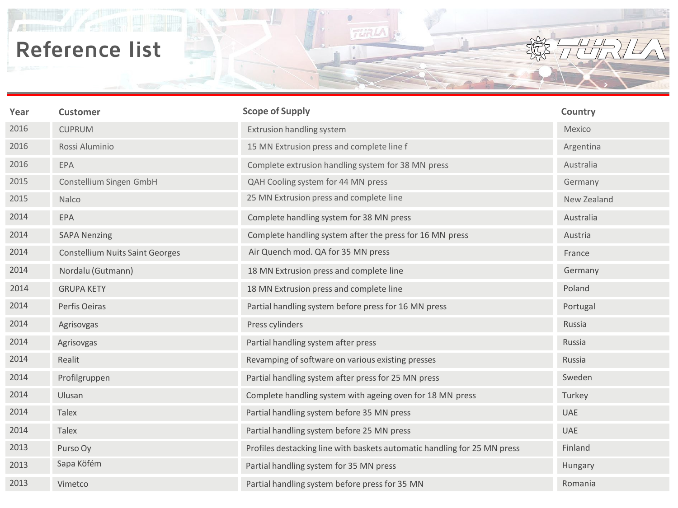$\mathbb{A}$ 

| Year | <b>Customer</b>                        | <b>Scope of Supply</b>                                                   | Country     |
|------|----------------------------------------|--------------------------------------------------------------------------|-------------|
| 2016 | <b>CUPRUM</b>                          | Extrusion handling system                                                | Mexico      |
| 2016 | Rossi Aluminio                         | 15 MN Extrusion press and complete line f                                | Argentina   |
| 2016 | EPA                                    | Complete extrusion handling system for 38 MN press                       | Australia   |
| 2015 | Constellium Singen GmbH                | QAH Cooling system for 44 MN press                                       | Germany     |
| 2015 | Nalco                                  | 25 MN Extrusion press and complete line                                  | New Zealand |
| 2014 | EPA                                    | Complete handling system for 38 MN press                                 | Australia   |
| 2014 | <b>SAPA Nenzing</b>                    | Complete handling system after the press for 16 MN press                 | Austria     |
| 2014 | <b>Constellium Nuits Saint Georges</b> | Air Quench mod. QA for 35 MN press                                       | France      |
| 2014 | Nordalu (Gutmann)                      | 18 MN Extrusion press and complete line                                  | Germany     |
| 2014 | <b>GRUPA KETY</b>                      | 18 MN Extrusion press and complete line                                  | Poland      |
| 2014 | Perfis Oeiras                          | Partial handling system before press for 16 MN press                     | Portugal    |
| 2014 | Agrisovgas                             | Press cylinders                                                          | Russia      |
| 2014 | Agrisovgas                             | Partial handling system after press                                      | Russia      |
| 2014 | Realit                                 | Revamping of software on various existing presses                        | Russia      |
| 2014 | Profilgruppen                          | Partial handling system after press for 25 MN press                      | Sweden      |
| 2014 | Ulusan                                 | Complete handling system with ageing oven for 18 MN press                | Turkey      |
| 2014 | <b>Talex</b>                           | Partial handling system before 35 MN press                               | <b>UAE</b>  |
| 2014 | <b>Talex</b>                           | Partial handling system before 25 MN press                               | <b>UAE</b>  |
| 2013 | Purso Oy                               | Profiles destacking line with baskets automatic handling for 25 MN press | Finland     |
| 2013 | Sapa Köfém                             | Partial handling system for 35 MN press                                  | Hungary     |
| 2013 | Vimetco                                | Partial handling system before press for 35 MN                           | Romania     |

 $\Box$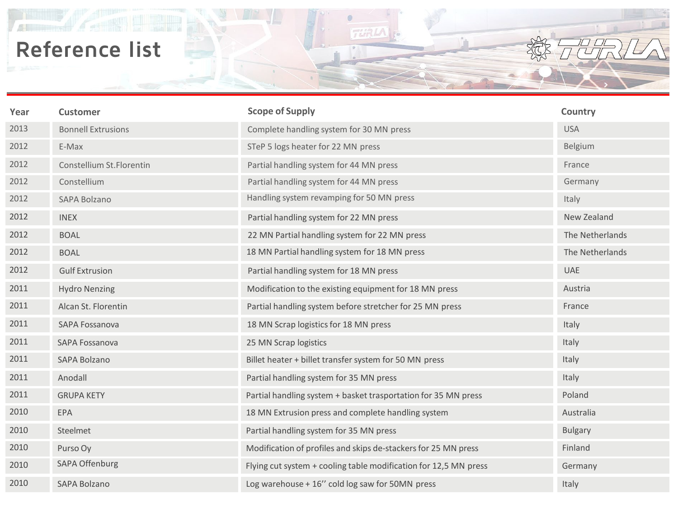鼎

| Year | <b>Customer</b>           | <b>Scope of Supply</b>                                           | Country         |
|------|---------------------------|------------------------------------------------------------------|-----------------|
| 2013 | <b>Bonnell Extrusions</b> | Complete handling system for 30 MN press                         | <b>USA</b>      |
| 2012 | E-Max                     | STeP 5 logs heater for 22 MN press                               | Belgium         |
| 2012 | Constellium St.Florentin  | Partial handling system for 44 MN press                          | France          |
| 2012 | Constellium               | Partial handling system for 44 MN press                          | Germany         |
| 2012 | <b>SAPA Bolzano</b>       | Handling system revamping for 50 MN press                        | Italy           |
| 2012 | <b>INEX</b>               | Partial handling system for 22 MN press                          | New Zealand     |
| 2012 | <b>BOAL</b>               | 22 MN Partial handling system for 22 MN press                    | The Netherlands |
| 2012 | <b>BOAL</b>               | 18 MN Partial handling system for 18 MN press                    | The Netherlands |
| 2012 | <b>Gulf Extrusion</b>     | Partial handling system for 18 MN press                          | <b>UAE</b>      |
| 2011 | <b>Hydro Nenzing</b>      | Modification to the existing equipment for 18 MN press           | Austria         |
| 2011 | Alcan St. Florentin       | Partial handling system before stretcher for 25 MN press         | France          |
| 2011 | SAPA Fossanova            | 18 MN Scrap logistics for 18 MN press                            | Italy           |
| 2011 | SAPA Fossanova            | 25 MN Scrap logistics                                            | Italy           |
| 2011 | <b>SAPA Bolzano</b>       | Billet heater + billet transfer system for 50 MN press           | Italy           |
| 2011 | Anodall                   | Partial handling system for 35 MN press                          | Italy           |
| 2011 | <b>GRUPA KETY</b>         | Partial handling system + basket trasportation for 35 MN press   | Poland          |
| 2010 | EPA                       | 18 MN Extrusion press and complete handling system               | Australia       |
| 2010 | Steelmet                  | Partial handling system for 35 MN press                          | <b>Bulgary</b>  |
| 2010 | Purso Oy                  | Modification of profiles and skips de-stackers for 25 MN press   | Finland         |
| 2010 | SAPA Offenburg            | Flying cut system + cooling table modification for 12,5 MN press | Germany         |
| 2010 | <b>SAPA Bolzano</b>       | Log warehouse + 16" cold log saw for 50MN press                  | Italy           |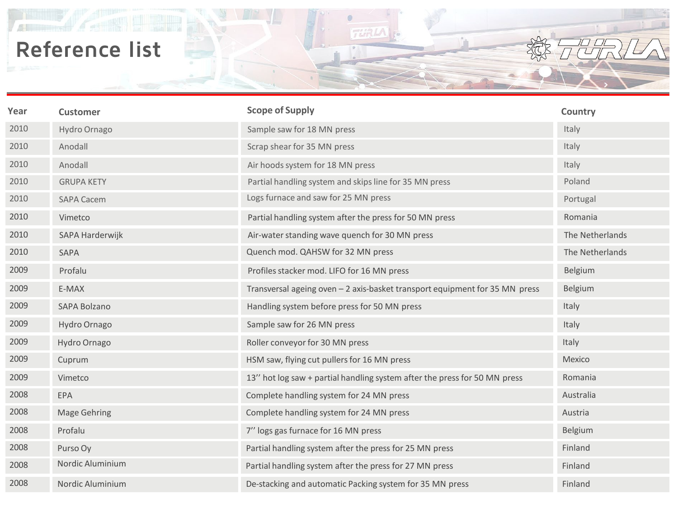鼎

| Year | <b>Customer</b>   | <b>Scope of Supply</b>                                                      | Country         |
|------|-------------------|-----------------------------------------------------------------------------|-----------------|
| 2010 | Hydro Ornago      | Sample saw for 18 MN press                                                  | Italy           |
| 2010 | Anodall           | Scrap shear for 35 MN press                                                 | Italy           |
| 2010 | Anodall           | Air hoods system for 18 MN press                                            | Italy           |
| 2010 | <b>GRUPA KETY</b> | Partial handling system and skips line for 35 MN press                      | Poland          |
| 2010 | <b>SAPA Cacem</b> | Logs furnace and saw for 25 MN press                                        | Portugal        |
| 2010 | Vimetco           | Partial handling system after the press for 50 MN press                     | Romania         |
| 2010 | SAPA Harderwijk   | Air-water standing wave quench for 30 MN press                              | The Netherlands |
| 2010 | SAPA              | Quench mod. QAHSW for 32 MN press                                           | The Netherlands |
| 2009 | Profalu           | Profiles stacker mod. LIFO for 16 MN press                                  | Belgium         |
| 2009 | E-MAX             | Transversal ageing oven - 2 axis-basket transport equipment for 35 MN press | Belgium         |
| 2009 | SAPA Bolzano      | Handling system before press for 50 MN press                                | Italy           |
| 2009 | Hydro Ornago      | Sample saw for 26 MN press                                                  | Italy           |
| 2009 | Hydro Ornago      | Roller conveyor for 30 MN press                                             | Italy           |
| 2009 | Cuprum            | HSM saw, flying cut pullers for 16 MN press                                 | Mexico          |
| 2009 | Vimetco           | 13" hot log saw + partial handling system after the press for 50 MN press   | Romania         |
| 2008 | EPA               | Complete handling system for 24 MN press                                    | Australia       |
| 2008 | Mage Gehring      | Complete handling system for 24 MN press                                    | Austria         |
| 2008 | Profalu           | 7" logs gas furnace for 16 MN press                                         | Belgium         |
| 2008 | Purso Oy          | Partial handling system after the press for 25 MN press                     | Finland         |
| 2008 | Nordic Aluminium  | Partial handling system after the press for 27 MN press                     | Finland         |
| 2008 | Nordic Aluminium  | De-stacking and automatic Packing system for 35 MN press                    | Finland         |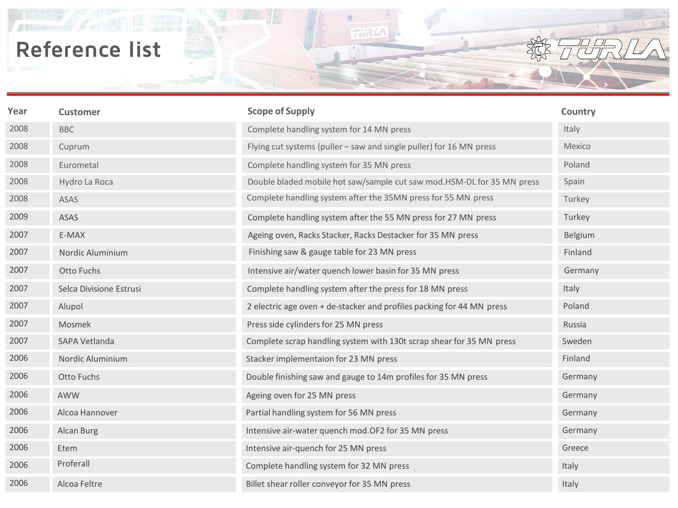鼎

| Year | <b>Customer</b>         | <b>Scope of Supply</b>                                                 | Country |
|------|-------------------------|------------------------------------------------------------------------|---------|
| 2008 | <b>BBC</b>              | Complete handling system for 14 MN press                               | Italy   |
| 2008 | Cuprum                  | Flying cut systems (puller - saw and single puller) for 16 MN press    | Mexico  |
| 2008 | Eurometal               | Complete handling system for 35 MN press                               | Poland  |
| 2008 | Hydro La Roca           | Double bladed mobile hot saw/sample cut saw mod.HSM-DL for 35 MN press | Spain   |
| 2008 | ASAS                    | Complete handling system after the 35MN press for 55 MN press          | Turkey  |
| 2009 | <b>ASAS</b>             | Complete handling system after the 55 MN press for 27 MN press         | Turkey  |
| 2007 | E-MAX                   | Ageing oven, Racks Stacker, Racks Destacker for 35 MN press            | Belgium |
| 2007 | Nordic Aluminium        | Finishing saw & gauge table for 23 MN press                            | Finland |
| 2007 | Otto Fuchs              | Intensive air/water quench lower basin for 35 MN press                 | Germany |
| 2007 | Selca Divisione Estrusi | Complete handling system after the press for 18 MN press               | Italy   |
| 2007 | Alupol                  | 2 electric age oven + de-stacker and profiles packing for 44 MN press  | Poland  |
| 2007 | Mosmek                  | Press side cylinders for 25 MN press                                   | Russia  |
| 2007 | SAPA Vetlanda           | Complete scrap handling system with 130t scrap shear for 35 MN press   | Sweden  |
| 2006 | Nordic Aluminium        | Stacker implementaion for 23 MN press                                  | Finland |
| 2006 | Otto Fuchs              | Double finishing saw and gauge to 14m profiles for 35 MN press         | Germany |
| 2006 | AWW                     | Ageing oven for 25 MN press                                            | Germany |
| 2006 | Alcoa Hannover          | Partial handling system for 56 MN press                                | Germany |
| 2006 | Alcan Burg              | Intensive air-water quench mod. OF2 for 35 MN press                    | Germany |
| 2006 | Etem                    | Intensive air-quench for 25 MN press                                   | Greece  |
| 2006 | Proferall               | Complete handling system for 32 MN press                               | Italy   |
| 2006 | Alcoa Feltre            | Billet shear roller conveyor for 35 MN press                           | Italy   |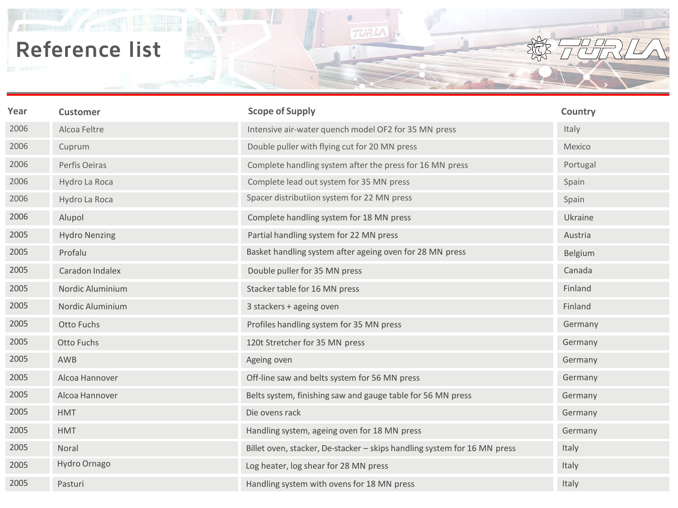$\mathbb{A}$ 

| Year | <b>Customer</b>      | <b>Scope of Supply</b>                                                   | Country  |
|------|----------------------|--------------------------------------------------------------------------|----------|
| 2006 | Alcoa Feltre         | Intensive air-water quench model OF2 for 35 MN press                     | Italy    |
| 2006 | Cuprum               | Double puller with flying cut for 20 MN press                            | Mexico   |
| 2006 | Perfis Oeiras        | Complete handling system after the press for 16 MN press                 | Portugal |
| 2006 | Hydro La Roca        | Complete lead out system for 35 MN press                                 | Spain    |
| 2006 | Hydro La Roca        | Spacer distributiion system for 22 MN press                              | Spain    |
| 2006 | Alupol               | Complete handling system for 18 MN press                                 | Ukraine  |
| 2005 | <b>Hydro Nenzing</b> | Partial handling system for 22 MN press                                  | Austria  |
| 2005 | Profalu              | Basket handling system after ageing oven for 28 MN press                 | Belgium  |
| 2005 | Caradon Indalex      | Double puller for 35 MN press                                            | Canada   |
| 2005 | Nordic Aluminium     | Stacker table for 16 MN press                                            | Finland  |
| 2005 | Nordic Aluminium     | 3 stackers + ageing oven                                                 | Finland  |
| 2005 | Otto Fuchs           | Profiles handling system for 35 MN press                                 | Germany  |
| 2005 | Otto Fuchs           | 120t Stretcher for 35 MN press                                           | Germany  |
| 2005 | AWB                  | Ageing oven                                                              | Germany  |
| 2005 | Alcoa Hannover       | Off-line saw and belts system for 56 MN press                            | Germany  |
| 2005 | Alcoa Hannover       | Belts system, finishing saw and gauge table for 56 MN press              | Germany  |
| 2005 | <b>HMT</b>           | Die ovens rack                                                           | Germany  |
| 2005 | <b>HMT</b>           | Handling system, ageing oven for 18 MN press                             | Germany  |
| 2005 | Noral                | Billet oven, stacker, De-stacker - skips handling system for 16 MN press | Italy    |
| 2005 | Hydro Ornago         | Log heater, log shear for 28 MN press                                    | Italy    |
| 2005 | Pasturi              | Handling system with ovens for 18 MN press                               | Italy    |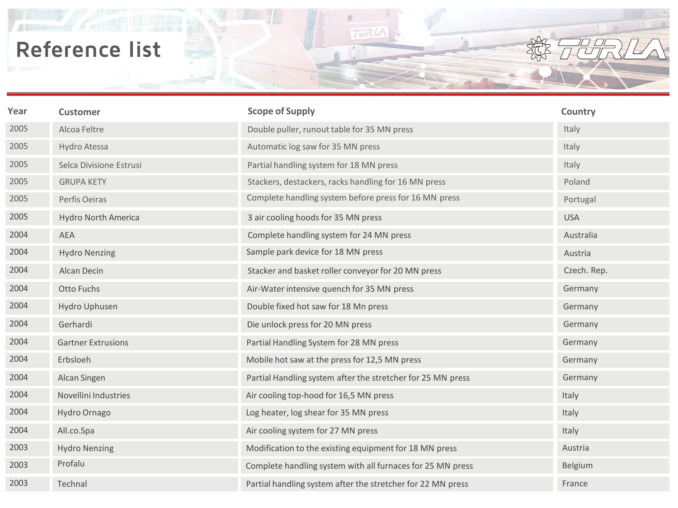$\mathbb{A}$ 

| Year | <b>Customer</b>           | <b>Scope of Supply</b>                                      | Country     |
|------|---------------------------|-------------------------------------------------------------|-------------|
| 2005 | Alcoa Feltre              | Double puller, runout table for 35 MN press                 | Italy       |
| 2005 | Hydro Atessa              | Automatic log saw for 35 MN press                           | Italy       |
| 2005 | Selca Divisione Estrusi   | Partial handling system for 18 MN press                     | Italy       |
| 2005 | <b>GRUPA KETY</b>         | Stackers, destackers, racks handling for 16 MN press        | Poland      |
| 2005 | Perfis Oeiras             | Complete handling system before press for 16 MN press       | Portugal    |
| 2005 | Hydro North America       | 3 air cooling hoods for 35 MN press                         | <b>USA</b>  |
| 2004 | AEA                       | Complete handling system for 24 MN press                    | Australia   |
| 2004 | <b>Hydro Nenzing</b>      | Sample park device for 18 MN press                          | Austria     |
| 2004 | Alcan Decin               | Stacker and basket roller conveyor for 20 MN press          | Czech. Rep. |
| 2004 | Otto Fuchs                | Air-Water intensive quench for 35 MN press                  | Germany     |
| 2004 | Hydro Uphusen             | Double fixed hot saw for 18 Mn press                        | Germany     |
| 2004 | Gerhardi                  | Die unlock press for 20 MN press                            | Germany     |
| 2004 | <b>Gartner Extrusions</b> | Partial Handling System for 28 MN press                     | Germany     |
| 2004 | Erbsloeh                  | Mobile hot saw at the press for 12,5 MN press               | Germany     |
| 2004 | Alcan Singen              | Partial Handling system after the stretcher for 25 MN press | Germany     |
| 2004 | Novellini Industries      | Air cooling top-hood for 16,5 MN press                      | Italy       |
| 2004 | Hydro Ornago              | Log heater, log shear for 35 MN press                       | Italy       |
| 2004 | All.co.Spa                | Air cooling system for 27 MN press                          | Italy       |
| 2003 | <b>Hydro Nenzing</b>      | Modification to the existing equipment for 18 MN press      | Austria     |
| 2003 | Profalu                   | Complete handling system with all furnaces for 25 MN press  | Belgium     |
| 2003 | Technal                   | Partial handling system after the stretcher for 22 MN press | France      |

**TURLA** 

**DU**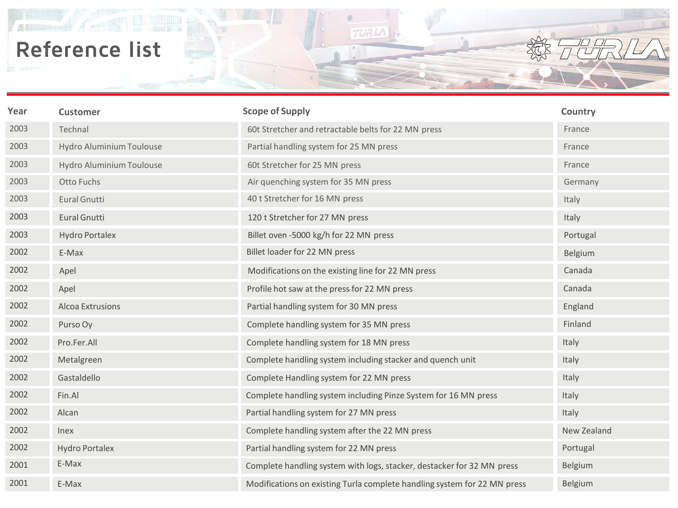$\mathbb{A}$ 

| Year | <b>Customer</b>          | <b>Scope of Supply</b>                                                   | Country     |
|------|--------------------------|--------------------------------------------------------------------------|-------------|
| 2003 | Technal                  | 60t Stretcher and retractable belts for 22 MN press                      | France      |
| 2003 | Hydro Aluminium Toulouse | Partial handling system for 25 MN press                                  | France      |
| 2003 | Hydro Aluminium Toulouse | 60t Stretcher for 25 MN press                                            | France      |
| 2003 | Otto Fuchs               | Air quenching system for 35 MN press                                     | Germany     |
| 2003 | <b>Eural Gnutti</b>      | 40 t Stretcher for 16 MN press                                           | Italy       |
| 2003 | <b>Eural Gnutti</b>      | 120 t Stretcher for 27 MN press                                          | Italy       |
| 2003 | <b>Hydro Portalex</b>    | Billet oven -5000 kg/h for 22 MN press                                   | Portugal    |
| 2002 | E-Max                    | Billet loader for 22 MN press                                            | Belgium     |
| 2002 | Apel                     | Modifications on the existing line for 22 MN press                       | Canada      |
| 2002 | Apel                     | Profile hot saw at the press for 22 MN press                             | Canada      |
| 2002 | Alcoa Extrusions         | Partial handling system for 30 MN press                                  | England     |
| 2002 | Purso Oy                 | Complete handling system for 35 MN press                                 | Finland     |
| 2002 | Pro.Fer.All              | Complete handling system for 18 MN press                                 | Italy       |
| 2002 | Metalgreen               | Complete handling system including stacker and quench unit               | Italy       |
| 2002 | Gastaldello              | Complete Handling system for 22 MN press                                 | Italy       |
| 2002 | Fin.Al                   | Complete handling system including Pinze System for 16 MN press          | Italy       |
| 2002 | Alcan                    | Partial handling system for 27 MN press                                  | Italy       |
| 2002 | <b>Inex</b>              | Complete handling system after the 22 MN press                           | New Zealand |
| 2002 | <b>Hydro Portalex</b>    | Partial handling system for 22 MN press                                  | Portugal    |
| 2001 | E-Max                    | Complete handling system with logs, stacker, destacker for 32 MN press   | Belgium     |
| 2001 | E-Max                    | Modifications on existing Turla complete handling system for 22 MN press | Belgium     |

**TURLA** 

**DU**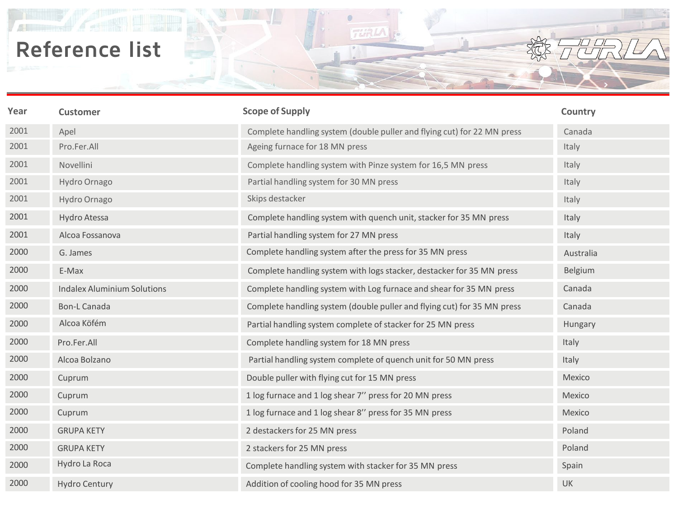鼎

| Year | <b>Customer</b>                    | <b>Scope of Supply</b>                                                  | Country   |
|------|------------------------------------|-------------------------------------------------------------------------|-----------|
| 2001 | Apel                               | Complete handling system (double puller and flying cut) for 22 MN press | Canada    |
| 2001 | Pro.Fer.All                        | Ageing furnace for 18 MN press                                          | Italy     |
| 2001 | Novellini                          | Complete handling system with Pinze system for 16,5 MN press            | Italy     |
| 2001 | Hydro Ornago                       | Partial handling system for 30 MN press                                 | Italy     |
| 2001 | Hydro Ornago                       | Skips destacker                                                         | Italy     |
| 2001 | Hydro Atessa                       | Complete handling system with quench unit, stacker for 35 MN press      | Italy     |
| 2001 | Alcoa Fossanova                    | Partial handling system for 27 MN press                                 | Italy     |
| 2000 | G. James                           | Complete handling system after the press for 35 MN press                | Australia |
| 2000 | E-Max                              | Complete handling system with logs stacker, destacker for 35 MN press   | Belgium   |
| 2000 | <b>Indalex Aluminium Solutions</b> | Complete handling system with Log furnace and shear for 35 MN press     | Canada    |
| 2000 | <b>Bon-L Canada</b>                | Complete handling system (double puller and flying cut) for 35 MN press | Canada    |
| 2000 | Alcoa Köfém                        | Partial handling system complete of stacker for 25 MN press             | Hungary   |
| 2000 | Pro.Fer.All                        | Complete handling system for 18 MN press                                | Italy     |
| 2000 | Alcoa Bolzano                      | Partial handling system complete of quench unit for 50 MN press         | Italy     |
| 2000 | Cuprum                             | Double puller with flying cut for 15 MN press                           | Mexico    |
| 2000 | Cuprum                             | 1 log furnace and 1 log shear 7" press for 20 MN press                  | Mexico    |
| 2000 | Cuprum                             | 1 log furnace and 1 log shear 8" press for 35 MN press                  | Mexico    |
| 2000 | <b>GRUPA KETY</b>                  | 2 destackers for 25 MN press                                            | Poland    |
| 2000 | <b>GRUPA KETY</b>                  | 2 stackers for 25 MN press                                              | Poland    |
| 2000 | Hydro La Roca                      | Complete handling system with stacker for 35 MN press                   | Spain     |
| 2000 | <b>Hydro Century</b>               | Addition of cooling hood for 35 MN press                                | UK        |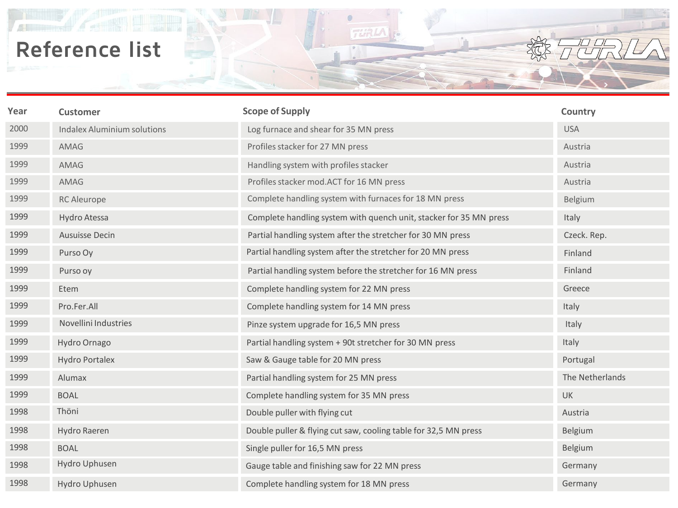鼎

| Year | <b>Customer</b>                    | <b>Scope of Supply</b>                                             | Country         |
|------|------------------------------------|--------------------------------------------------------------------|-----------------|
| 2000 | <b>Indalex Aluminium solutions</b> | Log furnace and shear for 35 MN press                              | <b>USA</b>      |
| 1999 | AMAG                               | Profiles stacker for 27 MN press                                   | Austria         |
| 1999 | AMAG                               | Handling system with profiles stacker                              | Austria         |
| 1999 | AMAG                               | Profiles stacker mod.ACT for 16 MN press                           | Austria         |
| 1999 | <b>RC</b> Aleurope                 | Complete handling system with furnaces for 18 MN press             | Belgium         |
| 1999 | Hydro Atessa                       | Complete handling system with quench unit, stacker for 35 MN press | Italy           |
| 1999 | Ausuisse Decin                     | Partial handling system after the stretcher for 30 MN press        | Czeck. Rep.     |
| 1999 | Purso Oy                           | Partial handling system after the stretcher for 20 MN press        | Finland         |
| 1999 | Purso oy                           | Partial handling system before the stretcher for 16 MN press       | Finland         |
| 1999 | Etem                               | Complete handling system for 22 MN press                           | Greece          |
| 1999 | Pro.Fer.All                        | Complete handling system for 14 MN press                           | Italy           |
| 1999 | Novellini Industries               | Pinze system upgrade for 16,5 MN press                             | Italy           |
| 1999 | Hydro Ornago                       | Partial handling system + 90t stretcher for 30 MN press            | Italy           |
| 1999 | <b>Hydro Portalex</b>              | Saw & Gauge table for 20 MN press                                  | Portugal        |
| 1999 | Alumax                             | Partial handling system for 25 MN press                            | The Netherlands |
| 1999 | <b>BOAL</b>                        | Complete handling system for 35 MN press                           | UK              |
| 1998 | Thöni                              | Double puller with flying cut                                      | Austria         |
| 1998 | Hydro Raeren                       | Double puller & flying cut saw, cooling table for 32,5 MN press    | Belgium         |
| 1998 | <b>BOAL</b>                        | Single puller for 16,5 MN press                                    | <b>Belgium</b>  |
| 1998 | Hydro Uphusen                      | Gauge table and finishing saw for 22 MN press                      | Germany         |
| 1998 | Hydro Uphusen                      | Complete handling system for 18 MN press                           | Germany         |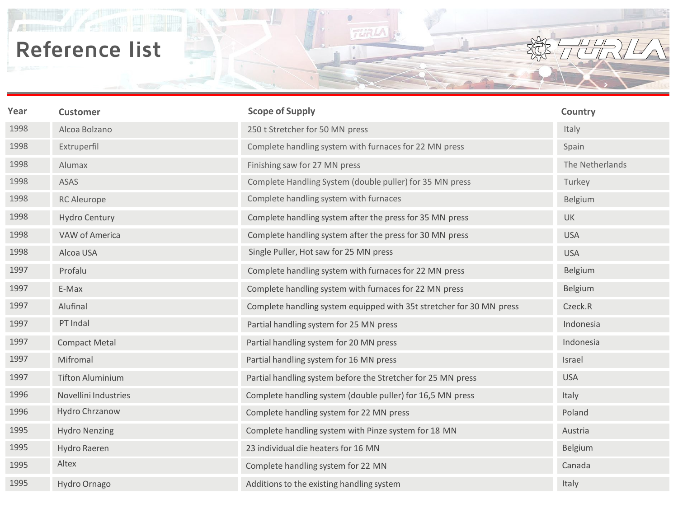鼎

| Year | <b>Customer</b>         | <b>Scope of Supply</b>                                               | Country         |
|------|-------------------------|----------------------------------------------------------------------|-----------------|
| 1998 | Alcoa Bolzano           | 250 t Stretcher for 50 MN press                                      | Italy           |
| 1998 | Extruperfil             | Complete handling system with furnaces for 22 MN press               | Spain           |
| 1998 | Alumax                  | Finishing saw for 27 MN press                                        | The Netherlands |
| 1998 | ASAS                    | Complete Handling System (double puller) for 35 MN press             | Turkey          |
| 1998 | <b>RC</b> Aleurope      | Complete handling system with furnaces                               | Belgium         |
| 1998 | <b>Hydro Century</b>    | Complete handling system after the press for 35 MN press             | <b>UK</b>       |
| 1998 | VAW of America          | Complete handling system after the press for 30 MN press             | <b>USA</b>      |
| 1998 | Alcoa USA               | Single Puller, Hot saw for 25 MN press                               | <b>USA</b>      |
| 1997 | Profalu                 | Complete handling system with furnaces for 22 MN press               | Belgium         |
| 1997 | E-Max                   | Complete handling system with furnaces for 22 MN press               | Belgium         |
| 1997 | Alufinal                | Complete handling system equipped with 35t stretcher for 30 MN press | Czeck.R         |
| 1997 | PT Indal                | Partial handling system for 25 MN press                              | Indonesia       |
| 1997 | <b>Compact Metal</b>    | Partial handling system for 20 MN press                              | Indonesia       |
| 1997 | Mifromal                | Partial handling system for 16 MN press                              | Israel          |
| 1997 | <b>Tifton Aluminium</b> | Partial handling system before the Stretcher for 25 MN press         | <b>USA</b>      |
| 1996 | Novellini Industries    | Complete handling system (double puller) for 16,5 MN press           | Italy           |
| 1996 | Hydro Chrzanow          | Complete handling system for 22 MN press                             | Poland          |
| 1995 | <b>Hydro Nenzing</b>    | Complete handling system with Pinze system for 18 MN                 | Austria         |
| 1995 | Hydro Raeren            | 23 individual die heaters for 16 MN                                  | Belgium         |
| 1995 | Altex                   | Complete handling system for 22 MN                                   | Canada          |
| 1995 | Hydro Ornago            | Additions to the existing handling system                            | Italy           |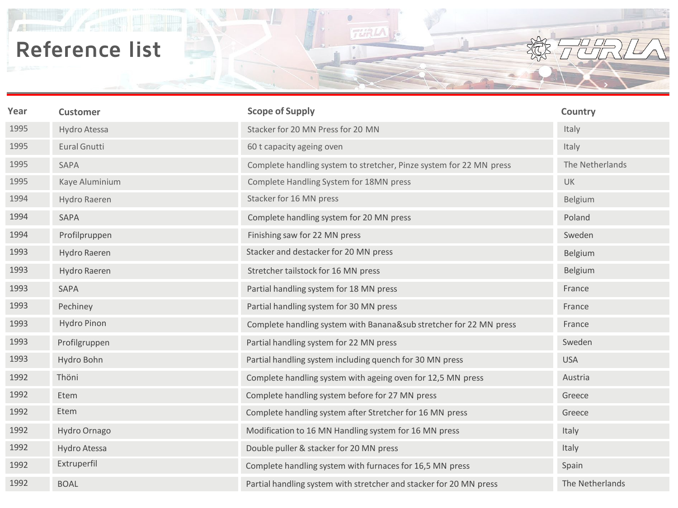鼎

| Year | <b>Customer</b> | <b>Scope of Supply</b>                                              | Country         |
|------|-----------------|---------------------------------------------------------------------|-----------------|
| 1995 | Hydro Atessa    | Stacker for 20 MN Press for 20 MN                                   | Italy           |
| 1995 | Eural Gnutti    | 60 t capacity ageing oven                                           | Italy           |
| 1995 | SAPA            | Complete handling system to stretcher, Pinze system for 22 MN press | The Netherlands |
| 1995 | Kaye Aluminium  | Complete Handling System for 18MN press                             | <b>UK</b>       |
| 1994 | Hydro Raeren    | Stacker for 16 MN press                                             | Belgium         |
| 1994 | SAPA            | Complete handling system for 20 MN press                            | Poland          |
| 1994 | Profilpruppen   | Finishing saw for 22 MN press                                       | Sweden          |
| 1993 | Hydro Raeren    | Stacker and destacker for 20 MN press                               | Belgium         |
| 1993 | Hydro Raeren    | Stretcher tailstock for 16 MN press                                 | Belgium         |
| 1993 | SAPA            | Partial handling system for 18 MN press                             | France          |
| 1993 | Pechiney        | Partial handling system for 30 MN press                             | France          |
| 1993 | Hydro Pinon     | Complete handling system with Banana⊂ stretcher for 22 MN press     | France          |
| 1993 | Profilgruppen   | Partial handling system for 22 MN press                             | Sweden          |
| 1993 | Hydro Bohn      | Partial handling system including quench for 30 MN press            | <b>USA</b>      |
| 1992 | Thöni           | Complete handling system with ageing oven for 12,5 MN press         | Austria         |
| 1992 | Etem            | Complete handling system before for 27 MN press                     | Greece          |
| 1992 | Etem            | Complete handling system after Stretcher for 16 MN press            | Greece          |
| 1992 | Hydro Ornago    | Modification to 16 MN Handling system for 16 MN press               | Italy           |
| 1992 | Hydro Atessa    | Double puller & stacker for 20 MN press                             | Italy           |
| 1992 | Extruperfil     | Complete handling system with furnaces for 16,5 MN press            | Spain           |
| 1992 | <b>BOAL</b>     | Partial handling system with stretcher and stacker for 20 MN press  | The Netherlands |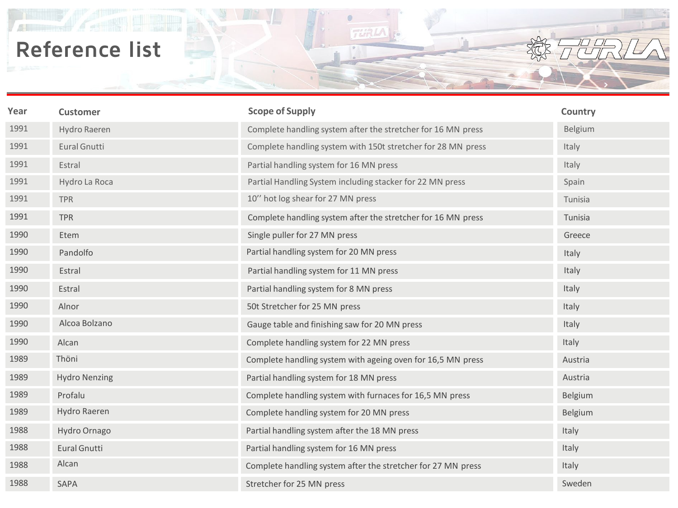$\mathbb{A}$ 

| Year | <b>Customer</b>      | <b>Scope of Supply</b>                                       | Country      |
|------|----------------------|--------------------------------------------------------------|--------------|
| 1991 | Hydro Raeren         | Complete handling system after the stretcher for 16 MN press | Belgium      |
| 1991 | Eural Gnutti         | Complete handling system with 150t stretcher for 28 MN press | Italy        |
| 1991 | Estral               | Partial handling system for 16 MN press                      | Italy        |
| 1991 | Hydro La Roca        | Partial Handling System including stacker for 22 MN press    | Spain        |
| 1991 | <b>TPR</b>           | 10" hot log shear for 27 MN press                            | Tunisia      |
| 1991 | <b>TPR</b>           | Complete handling system after the stretcher for 16 MN press | Tunisia      |
| 1990 | Etem                 | Single puller for 27 MN press                                | Greece       |
| 1990 | Pandolfo             | Partial handling system for 20 MN press                      | Italy        |
| 1990 | Estral               | Partial handling system for 11 MN press                      | Italy        |
| 1990 | Estral               | Partial handling system for 8 MN press                       | Italy        |
| 1990 | Alnor                | 50t Stretcher for 25 MN press                                | Italy        |
| 1990 | Alcoa Bolzano        | Gauge table and finishing saw for 20 MN press                | Italy        |
| 1990 | Alcan                | Complete handling system for 22 MN press                     | Italy        |
| 1989 | Thöni                | Complete handling system with ageing oven for 16,5 MN press  | Austria      |
| 1989 | <b>Hydro Nenzing</b> | Partial handling system for 18 MN press                      | Austria      |
| 1989 | Profalu              | Complete handling system with furnaces for 16,5 MN press     | Belgium      |
| 1989 | Hydro Raeren         | Complete handling system for 20 MN press                     | Belgium      |
| 1988 | Hydro Ornago         | Partial handling system after the 18 MN press                | Italy        |
| 1988 | Eural Gnutti         | Partial handling system for 16 MN press                      | Italy        |
| 1988 | Alcan                | Complete handling system after the stretcher for 27 MN press | <b>Italy</b> |
| 1988 | <b>SAPA</b>          | Stretcher for 25 MN press                                    | Sweden       |

**TURLA** 

**DU**